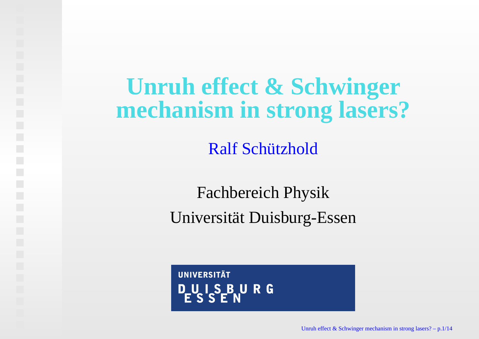#### **Unruh effect & Schwingermechanism in strong lasers?**

Ralf Schützhold

Fachbereich PhysikUniversitat Duisburg-Essen ¨

**UNIVERSITÄT** DUISBURG<br>ESSEN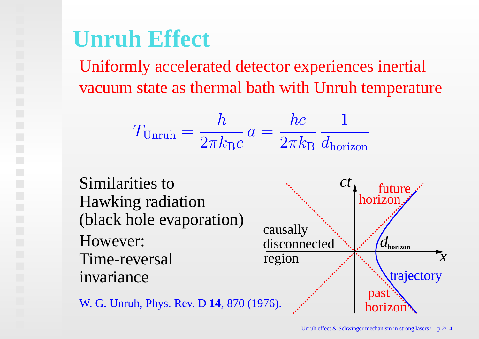#### **Unruh Effect**

Uniformly accelerated detector experiences inertialvacuum state as thermal bath with Unruh temperature

$$
T_{\text{Unruh}} = \frac{\hbar}{2\pi k_{\text{B}}c} a = \frac{\hbar c}{2\pi k_{\text{B}}} \frac{1}{d_{\text{horizon}}}
$$



W. G. Unruh, Phys. Rev. D **<sup>14</sup>**, <sup>870</sup> (1976).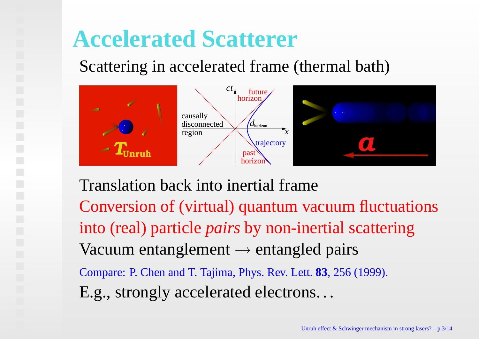#### **Accelerated Scatterer**

Scattering in accelerated frame (thermal bath)



Translation back into inertial frameConversion of (virtual) quantum vacuum fluctuationsinto (real) particle *pairs* by non-inertial scatteringVacuum entanglement → entangled pairs<br>Cerracia: P. Chan and T. Taiima, Phys. Pay, Lett. 82, 356 ( Compare: P. Chen and T. Tajima, Phys. Rev. Lett. **83**, 256 (1999). E.g., strongly accelerated electrons. . .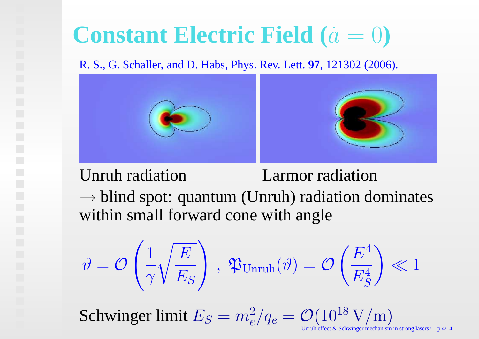# **Constant Electric Field (**a˙ <sup>=</sup> 0**)**

#### R. S., G. Schaller, and D. Habs, Phys. Rev. Lett. **97**, 121302 (2006).



#### Unruh radiation Larmor radiation

 $\rightarrow$  blind spot: quantum (Unruh) radiation dominates<br>within small forward cone with angle within small forward cone with angle

$$
\vartheta = \mathcal{O}\left(\frac{1}{\gamma}\sqrt{\frac{E}{E_S}}\right) , \mathfrak{P}_{\text{Unruh}}(\vartheta) = \mathcal{O}\left(\frac{E^4}{E_S^4}\right) \ll 1
$$

Schwinger limit  $E_S=m$ 2 $\frac{2}{e}/q_e=$  $\mathcal{O}(10^{18}\,\text{V/m})$ 

Unruh effect & Schwinger mechanism in strong lasers? – p.4/14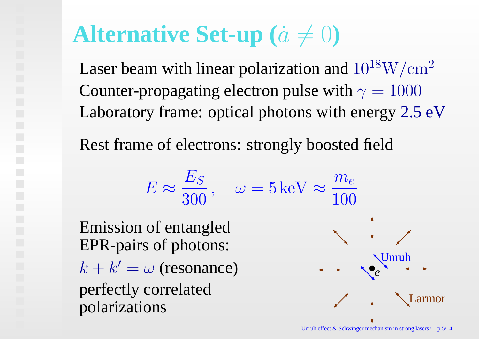# **Alternative Set-up**  $(\dot{a} \neq 0)$

Laser beam with linear polarization and  $10^{18}\rm{W/cm^2}$ Counter-propagating electron pulse with  $\gamma = 1000$ Laboratory frame: optical photons with energy 2.5 eV

Rest frame of electrons: strongly boosted field

$$
E \approx \frac{E_S}{300}, \quad \omega = 5 \text{ keV} \approx \frac{m_e}{100}
$$
  
Emission of entangled  
EPR-pairs of photons:  
 $k + k' = \omega$  (resonance)  
perfectly correlated  
polarizations

Larmor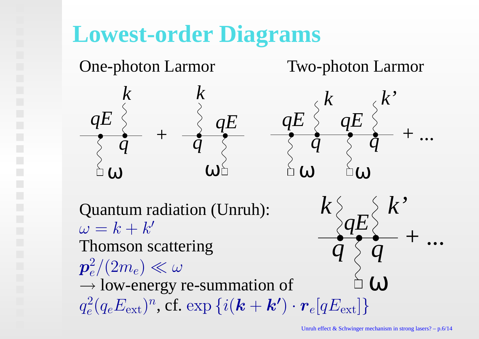### **Lowest-order Diagrams**

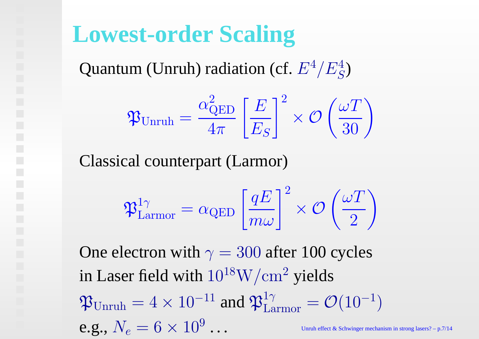#### **Lowest-order Scaling**

Quantum (Unruh) radiation (cf.  $E^4/E^4_S$  $\,frac{4}{S})$ 

$$
\mathfrak{P}_{\text{Unruh}} = \frac{\alpha_{\text{QED}}^2}{4\pi} \left[ \frac{E}{E_S} \right]^2 \times \mathcal{O}\left(\frac{\omega T}{30}\right)
$$

Classical counterpart (Larmor)

$$
\mathfrak{P}_{\rm Larmor}^{1\gamma} = \alpha_{\rm QED} \left[ \frac{qE}{m\omega} \right]^2 \times \mathcal{O}\left( \frac{\omega T}{2} \right)
$$

One electron with  $\gamma = 300$  after 100 cycles in Laser field with  $10^{18}\rm{W/cm^2}$  yields  $\mathfrak{P}_{\rm Unruh}=4\times 10^{-11}$  and  $\mathfrak{P}_{\rm L}^1$  $_{\rm Larmor}^{\rm 1\gamma} =$  $\mathcal{O}(10^+$ 1 $\left( \frac{1}{2} \right)$ e.g.,  $N_e=6\times10^9$ • • • Unruh effect & Schwinger mechanism in strong lasers?  $- p.7/14$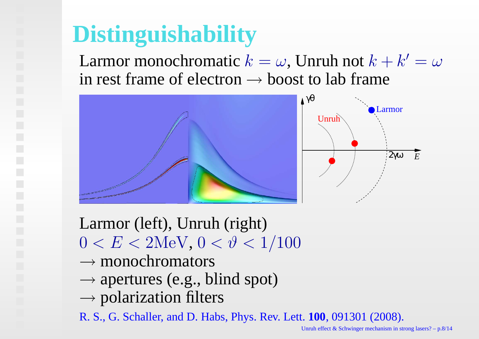# **Distinguishability**

Larmor monochromatic  $k=\,$  $\mathbf n$  $\omega$ , Unruh not  $k+k'=\omega$  $\cdot$ in rest frame of electron  $\rightarrow$  boost to lab frame



Larmor (left), Unruh (right) $0 < E < 2$ MeV,  $0 < \vartheta < 1/100$ 

- $\rightarrow$  monochromators<br> $\rightarrow$  apertures (e.g., b)
- $\rightarrow$  apertures (e.g., blind spot)<br> $\rightarrow$  polarization filters
- $\rightarrow$  polarization filters<br>R S G Schaller and D Habs

R. S., G. Schaller, and D. Habs, Phys. Rev. Lett. **100**, 091301 (2008).

Unruh effect & Schwinger mechanism in strong lasers? – p.8/14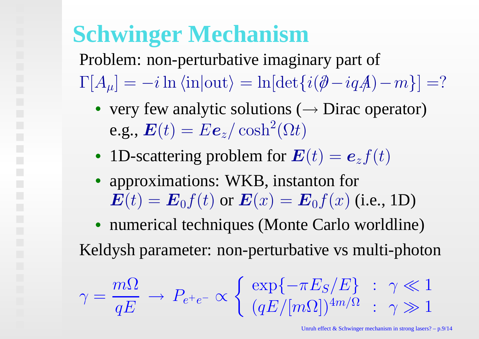## **Schwinger Mechanism**

Problem: non-perturbative imaginary par<sup>t</sup> of $\Gamma[A_\mu]=$  $-i\ln\left\langle \text{in}\right|\text{out}\right\rangle =\ln[\det\{i(\partial\!\!\!/-iqA)\!\!\!/\,$  $-{\it m}$  $\}] = ?$ 

- very few analytic solutions ( $\rightarrow$  Dirac operator)<br>a.g.  $E(t) = Ee^{-t} \cosh^2(\Omega t)$ e.g.,  $\boldsymbol{E}(t) = E \boldsymbol{e}_z/\cosh^2(\Omega t)$
- 1D-scattering problem for  $\boldsymbol{E}(t) =$  $\bm{e}_z f(t)$
- • approximations: WKB, instanton for $\bm{E}(t) = \bm{E}_0 f(t)$  or  $\bm{E}(x) = \bm{E}_0 f(x)$  (i.e., 1D)

 • numerical techniques (Monte Carlo worldline)Keldysh parameter: non-perturbative vs multi-photon

$$
\gamma = \frac{m\Omega}{qE} \to P_{e^+e^-} \propto \left\{ \begin{array}{l} \exp\{-\pi E_S/E\} & : \gamma \ll 1\\ (qE/[m\Omega])^{4m/\Omega} & : \gamma \gg 1 \end{array} \right.
$$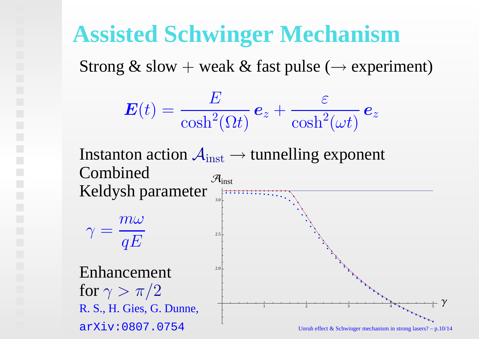#### **Assisted Schwinger Mechanism**

Strong & slow + weak & fast pulse ( $\rightarrow$  experiment)

$$
\bm{E}(t)=\frac{E}{\cosh^2(\Omega t)}\bm{e}_z+\frac{\varepsilon}{\cosh^2(\omega t)}\bm{e}_z
$$

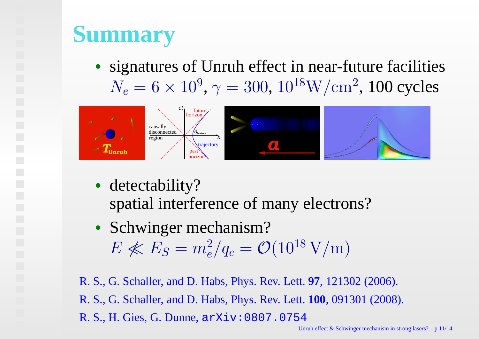## **Summary**

• signatures of Unruh effect in near-future facilities $N_e = 6 \times 10^9, \, \gamma = 300, \, 10^{18} \mathrm{W/cm^2}, \, 100$  cycles



- detectability? spatial interference of many electrons?
- Schwinger mechanism? $E \not\ll E_S = m_e^2/q_e = \mathcal{O}(10^{18} \,\text{V/m})$

R. S., G. Schaller, and D. Habs, Phys. Rev. Lett. **97**, 121302 (2006). R. S., G. Schaller, and D. Habs, Phys. Rev. Lett. **100**, 091301 (2008). R. S., H. Gies, G. Dunne, arXiv:0807.0754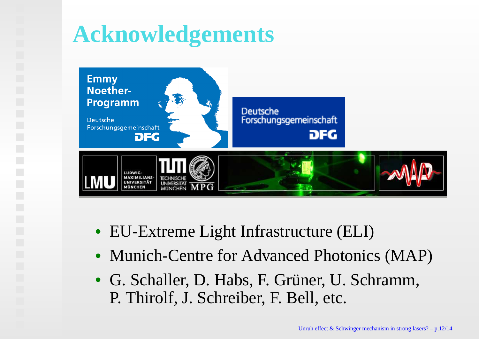### **Acknowledgements**



- EU-Extreme Light Infrastructure (ELI)
- Munich-Centre for Advanced Photonics (MAP)
- G. Schaller, D. Habs, F. Grüner, U. Schramm, P. Thirolf, J. Schreiber, F. Bell, etc.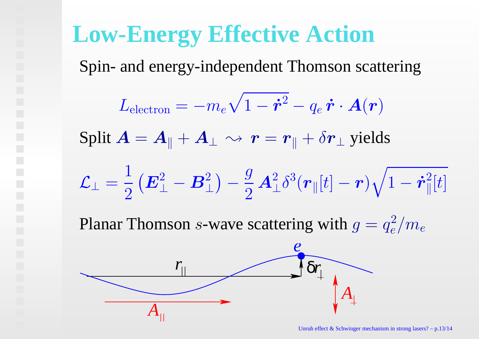#### **Low-Energy Effective Action**

*A||*

Spin- and energy-independent Thomson scattering

$$
L_{\text{electron}} = -m_e \sqrt{1 - \dot{r}^2} - q_e \dot{r} \cdot A(r)
$$
\n
$$
\text{Split } A = A_{\parallel} + A_{\perp} \sim r = r_{\parallel} + \delta r_{\perp} \text{ yields}
$$
\n
$$
\mathcal{L}_{\perp} = \frac{1}{2} \left( \mathbf{E}_{\perp}^2 - \mathbf{B}_{\perp}^2 \right) - \frac{g}{2} A_{\perp}^2 \delta^3(r_{\parallel}[t] - r) \sqrt{1 - \dot{r}_{\parallel}^2[t]}
$$
\n
$$
\text{Planar Thomson } s\text{-wave scattering with } g = q_e^2 / m_e
$$